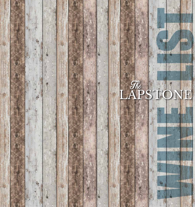

the

**Alice M**